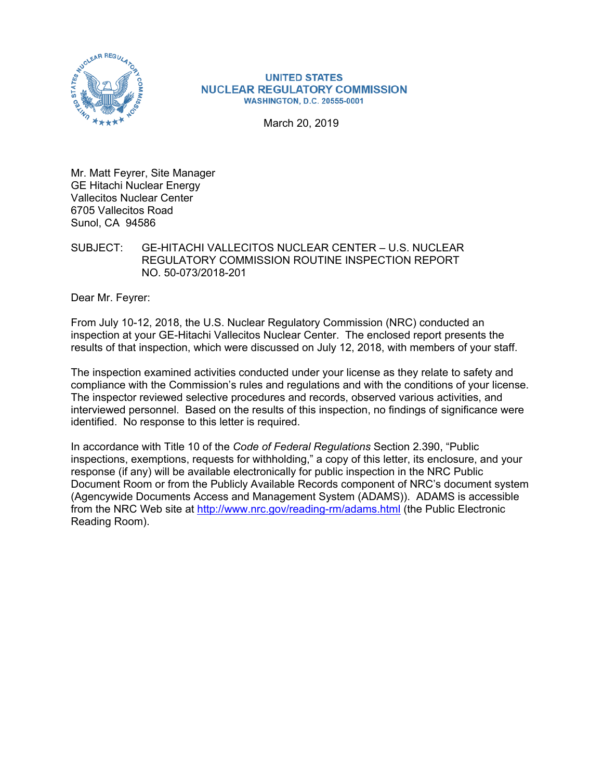

#### **UNITED STATES NUCLEAR REGULATORY COMMISSION WASHINGTON, D.C. 20555-0001**

March 20, 2019

Mr. Matt Feyrer, Site Manager GE Hitachi Nuclear Energy Vallecitos Nuclear Center 6705 Vallecitos Road Sunol, CA 94586

SUBJECT: GE-HITACHI VALLECITOS NUCLEAR CENTER – U.S. NUCLEAR REGULATORY COMMISSION ROUTINE INSPECTION REPORT NO. 50-073/2018-201

Dear Mr. Feyrer:

From July 10-12, 2018, the U.S. Nuclear Regulatory Commission (NRC) conducted an inspection at your GE-Hitachi Vallecitos Nuclear Center. The enclosed report presents the results of that inspection, which were discussed on July 12, 2018, with members of your staff.

The inspection examined activities conducted under your license as they relate to safety and compliance with the Commission's rules and regulations and with the conditions of your license. The inspector reviewed selective procedures and records, observed various activities, and interviewed personnel. Based on the results of this inspection, no findings of significance were identified. No response to this letter is required.

In accordance with Title 10 of the *Code of Federal Regulations* Section 2.390, "Public inspections, exemptions, requests for withholding," a copy of this letter, its enclosure, and your response (if any) will be available electronically for public inspection in the NRC Public Document Room or from the Publicly Available Records component of NRC's document system (Agencywide Documents Access and Management System (ADAMS)). ADAMS is accessible from the NRC Web site at http://www.nrc.gov/reading-rm/adams.html (the Public Electronic Reading Room).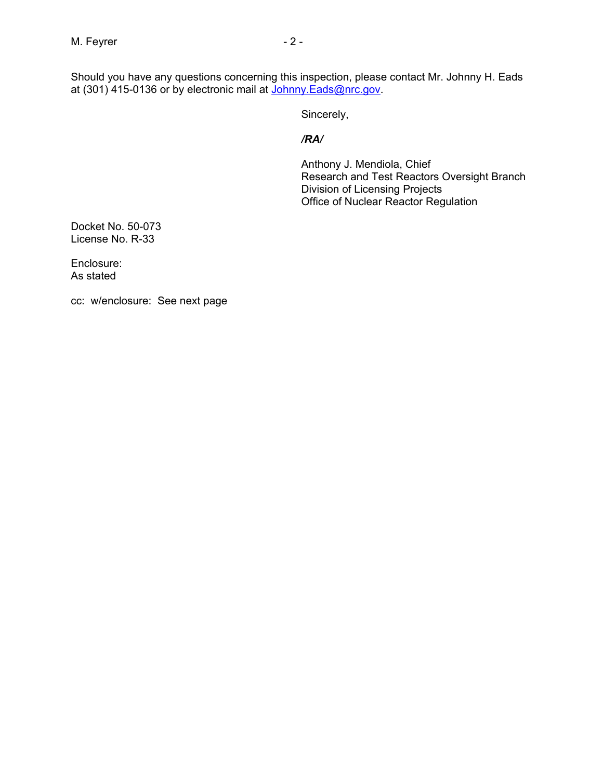Should you have any questions concerning this inspection, please contact Mr. Johnny H. Eads at (301) 415-0136 or by electronic mail at <u>Johnny.Eads@nrc.gov</u>.

Sincerely,

#### */RA/*

Anthony J. Mendiola, Chief Research and Test Reactors Oversight Branch Division of Licensing Projects Office of Nuclear Reactor Regulation

Docket No. 50-073 License No. R-33

Enclosure: As stated

cc: w/enclosure: See next page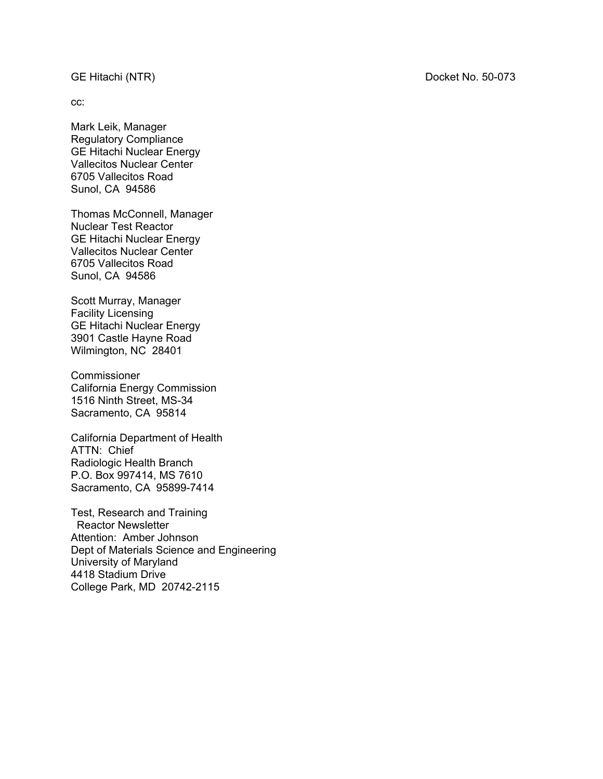### GE Hitachi (NTR) Docket No. 50-073

cc:

Mark Leik, Manager Regulatory Compliance GE Hitachi Nuclear Energy Vallecitos Nuclear Center 6705 Vallecitos Road Sunol, CA 94586

Thomas McConnell, Manager Nuclear Test Reactor GE Hitachi Nuclear Energy Vallecitos Nuclear Center 6705 Vallecitos Road Sunol, CA 94586

Scott Murray, Manager Facility Licensing GE Hitachi Nuclear Energy 3901 Castle Hayne Road Wilmington, NC 28401

**Commissioner** California Energy Commission 1516 Ninth Street, MS-34 Sacramento, CA 95814

California Department of Health ATTN: Chief Radiologic Health Branch P.O. Box 997414, MS 7610 Sacramento, CA 95899-7414

Test, Research and Training Reactor Newsletter Attention: Amber Johnson Dept of Materials Science and Engineering University of Maryland 4418 Stadium Drive College Park, MD 20742-2115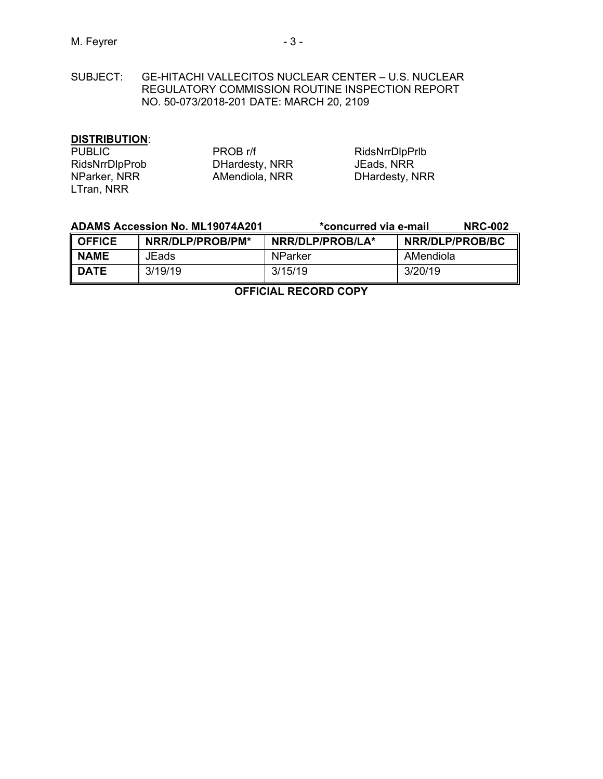SUBJECT: GE-HITACHI VALLECITOS NUCLEAR CENTER – U.S. NUCLEAR REGULATORY COMMISSION ROUTINE INSPECTION REPORT NO. 50-073/2018-201 DATE: MARCH 20, 2109

# **DISTRIBUTION**:

| <b>PUBLIC</b>         | PROB r/f       | RidsNrrDlpPrlb |
|-----------------------|----------------|----------------|
| <b>RidsNrrDlpProb</b> | DHardesty, NRR | JEads, NRR     |
| NParker, NRR          | AMendiola, NRR | DHardesty, NRR |
| LTran, NRR            |                |                |

| <b>ADAMS Accession No. ML19074A201</b> |                  | *concurred via e-mail | <b>NRC-002</b>  |
|----------------------------------------|------------------|-----------------------|-----------------|
| <b>OFFICE</b>                          | NRR/DLP/PROB/PM* | NRR/DLP/PROB/LA*      | NRR/DLP/PROB/BC |
| <b>NAME</b>                            | JEads            | NParker               | AMendiola       |
| l date                                 | 3/19/19          | 3/15/19               | 3/20/19         |

**OFFICIAL RECORD COPY**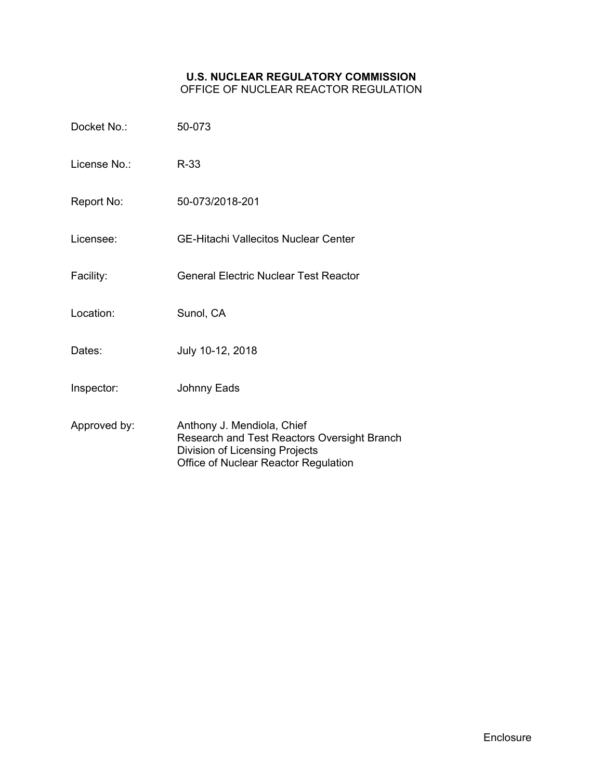#### **U.S. NUCLEAR REGULATORY COMMISSION** OFFICE OF NUCLEAR REACTOR REGULATION

| Docket No.:  | 50-073                                       |
|--------------|----------------------------------------------|
| License No.: | $R-33$                                       |
| Report No:   | 50-073/2018-201                              |
| Licensee:    | <b>GE-Hitachi Vallecitos Nuclear Center</b>  |
| Facility:    | <b>General Electric Nuclear Test Reactor</b> |
| Location:    | Sunol, CA                                    |
| Dates:       | July 10-12, 2018                             |
| Inspector:   | <b>Johnny Eads</b>                           |
|              |                                              |

Approved by: Anthony J. Mendiola, Chief Research and Test Reactors Oversight Branch Division of Licensing Projects Office of Nuclear Reactor Regulation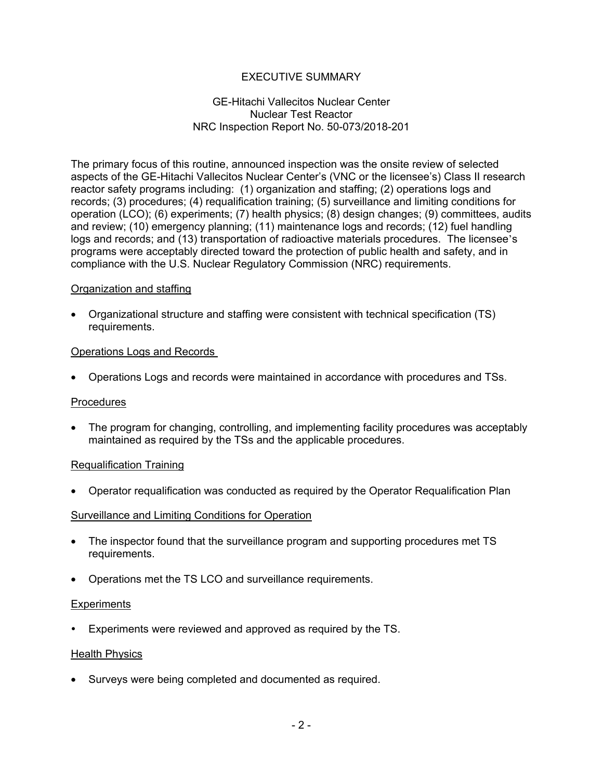# EXECUTIVE SUMMARY

## GE-Hitachi Vallecitos Nuclear Center Nuclear Test Reactor NRC Inspection Report No. 50-073/2018-201

The primary focus of this routine, announced inspection was the onsite review of selected aspects of the GE-Hitachi Vallecitos Nuclear Center's (VNC or the licensee's) Class II research reactor safety programs including: (1) organization and staffing; (2) operations logs and records; (3) procedures; (4) requalification training; (5) surveillance and limiting conditions for operation (LCO); (6) experiments; (7) health physics; (8) design changes; (9) committees, audits and review; (10) emergency planning; (11) maintenance logs and records; (12) fuel handling logs and records; and (13) transportation of radioactive materials procedures. The licensee's programs were acceptably directed toward the protection of public health and safety, and in compliance with the U.S. Nuclear Regulatory Commission (NRC) requirements.

## Organization and staffing

• Organizational structure and staffing were consistent with technical specification (TS) requirements.

## Operations Logs and Records

• Operations Logs and records were maintained in accordance with procedures and TSs.

#### Procedures

• The program for changing, controlling, and implementing facility procedures was acceptably maintained as required by the TSs and the applicable procedures.

#### Requalification Training

• Operator requalification was conducted as required by the Operator Requalification Plan

#### Surveillance and Limiting Conditions for Operation

- The inspector found that the surveillance program and supporting procedures met TS requirements.
- Operations met the TS LCO and surveillance requirements.

#### **Experiments**

Experiments were reviewed and approved as required by the TS.

#### Health Physics

• Surveys were being completed and documented as required.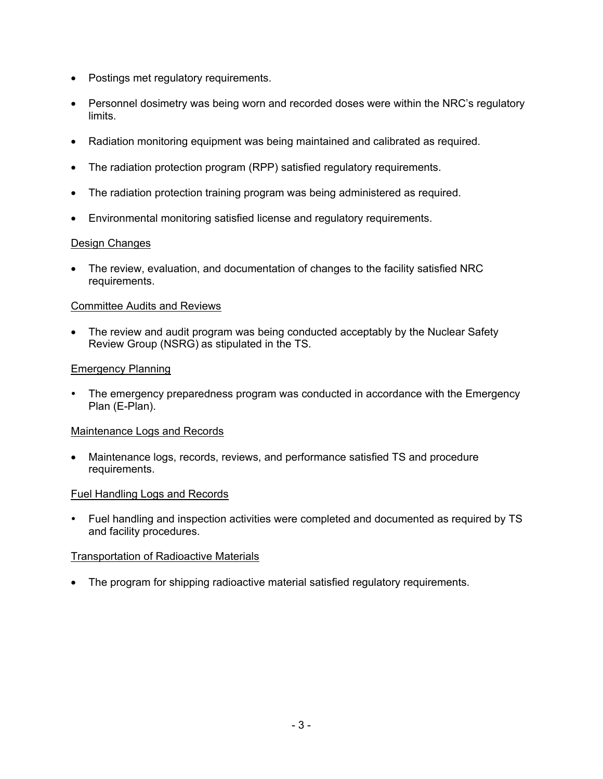- Postings met regulatory requirements.
- Personnel dosimetry was being worn and recorded doses were within the NRC's regulatory limits.
- Radiation monitoring equipment was being maintained and calibrated as required.
- The radiation protection program (RPP) satisfied regulatory requirements.
- The radiation protection training program was being administered as required.
- Environmental monitoring satisfied license and regulatory requirements.

## Design Changes

• The review, evaluation, and documentation of changes to the facility satisfied NRC requirements.

## Committee Audits and Reviews

• The review and audit program was being conducted acceptably by the Nuclear Safety Review Group (NSRG) as stipulated in the TS.

## Emergency Planning

 The emergency preparedness program was conducted in accordance with the Emergency Plan (E-Plan).

#### Maintenance Logs and Records

• Maintenance logs, records, reviews, and performance satisfied TS and procedure requirements.

#### Fuel Handling Logs and Records

 Fuel handling and inspection activities were completed and documented as required by TS and facility procedures.

## Transportation of Radioactive Materials

• The program for shipping radioactive material satisfied regulatory requirements.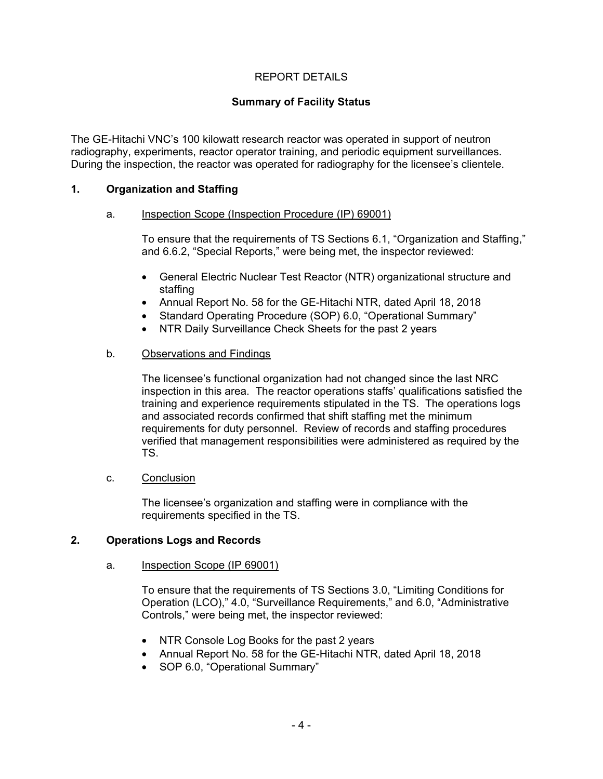# REPORT DETAILS

# **Summary of Facility Status**

The GE-Hitachi VNC's 100 kilowatt research reactor was operated in support of neutron radiography, experiments, reactor operator training, and periodic equipment surveillances. During the inspection, the reactor was operated for radiography for the licensee's clientele.

## **1. Organization and Staffing**

#### a. Inspection Scope (Inspection Procedure (IP) 69001)

To ensure that the requirements of TS Sections 6.1, "Organization and Staffing," and 6.6.2, "Special Reports," were being met, the inspector reviewed:

- General Electric Nuclear Test Reactor (NTR) organizational structure and staffing
- Annual Report No. 58 for the GE-Hitachi NTR, dated April 18, 2018
- Standard Operating Procedure (SOP) 6.0, "Operational Summary"
- NTR Daily Surveillance Check Sheets for the past 2 years

## b. Observations and Findings

The licensee's functional organization had not changed since the last NRC inspection in this area. The reactor operations staffs' qualifications satisfied the training and experience requirements stipulated in the TS. The operations logs and associated records confirmed that shift staffing met the minimum requirements for duty personnel. Review of records and staffing procedures verified that management responsibilities were administered as required by the TS.

## c. Conclusion

The licensee's organization and staffing were in compliance with the requirements specified in the TS.

## **2. Operations Logs and Records**

#### a. Inspection Scope (IP 69001)

To ensure that the requirements of TS Sections 3.0, "Limiting Conditions for Operation (LCO)," 4.0, "Surveillance Requirements," and 6.0, "Administrative Controls," were being met, the inspector reviewed:

- NTR Console Log Books for the past 2 years
- Annual Report No. 58 for the GE-Hitachi NTR, dated April 18, 2018
- SOP 6.0, "Operational Summary"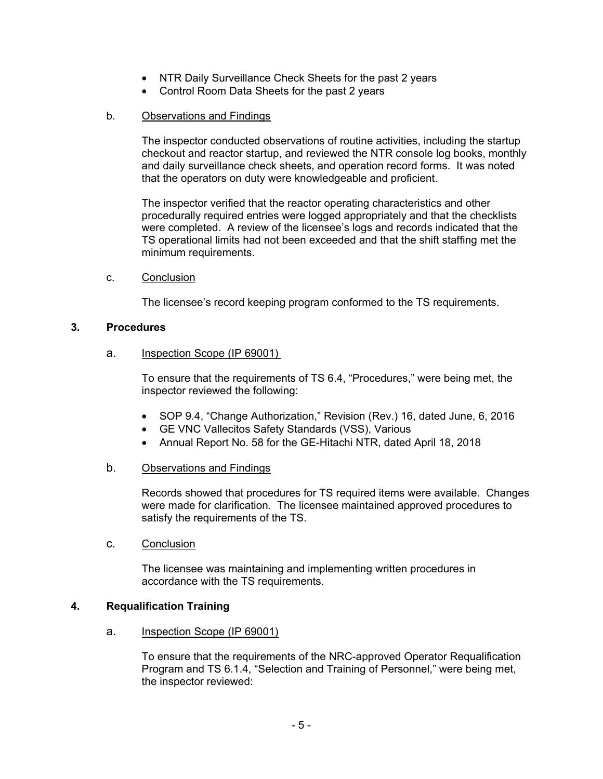- NTR Daily Surveillance Check Sheets for the past 2 years
- Control Room Data Sheets for the past 2 years

## b. Observations and Findings

The inspector conducted observations of routine activities, including the startup checkout and reactor startup, and reviewed the NTR console log books, monthly and daily surveillance check sheets, and operation record forms. It was noted that the operators on duty were knowledgeable and proficient.

The inspector verified that the reactor operating characteristics and other procedurally required entries were logged appropriately and that the checklists were completed. A review of the licensee's logs and records indicated that the TS operational limits had not been exceeded and that the shift staffing met the minimum requirements.

c. Conclusion

The licensee's record keeping program conformed to the TS requirements.

## **3. Procedures**

## a. Inspection Scope (IP 69001)

To ensure that the requirements of TS 6.4, "Procedures," were being met, the inspector reviewed the following:

- SOP 9.4, "Change Authorization," Revision (Rev.) 16, dated June, 6, 2016
- GE VNC Vallecitos Safety Standards (VSS), Various
- Annual Report No. 58 for the GE-Hitachi NTR, dated April 18, 2018

## b. Observations and Findings

Records showed that procedures for TS required items were available. Changes were made for clarification. The licensee maintained approved procedures to satisfy the requirements of the TS.

c. Conclusion

The licensee was maintaining and implementing written procedures in accordance with the TS requirements.

## **4. Requalification Training**

a. Inspection Scope (IP 69001)

To ensure that the requirements of the NRC-approved Operator Requalification Program and TS 6.1.4, "Selection and Training of Personnel," were being met, the inspector reviewed: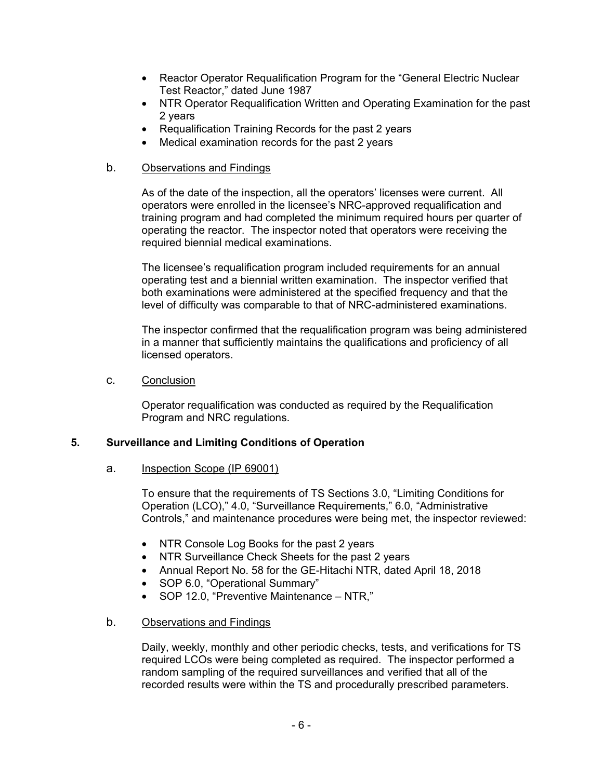- Reactor Operator Requalification Program for the "General Electric Nuclear Test Reactor," dated June 1987
- NTR Operator Requalification Written and Operating Examination for the past 2 years
- Requalification Training Records for the past 2 years
- Medical examination records for the past 2 years
- b. Observations and Findings

As of the date of the inspection, all the operators' licenses were current. All operators were enrolled in the licensee's NRC-approved requalification and training program and had completed the minimum required hours per quarter of operating the reactor. The inspector noted that operators were receiving the required biennial medical examinations.

The licensee's requalification program included requirements for an annual operating test and a biennial written examination. The inspector verified that both examinations were administered at the specified frequency and that the level of difficulty was comparable to that of NRC-administered examinations.

The inspector confirmed that the requalification program was being administered in a manner that sufficiently maintains the qualifications and proficiency of all licensed operators.

c. Conclusion

Operator requalification was conducted as required by the Requalification Program and NRC regulations.

## **5. Surveillance and Limiting Conditions of Operation**

#### a. Inspection Scope (IP 69001)

To ensure that the requirements of TS Sections 3.0, "Limiting Conditions for Operation (LCO)," 4.0, "Surveillance Requirements," 6.0, "Administrative Controls," and maintenance procedures were being met, the inspector reviewed:

- NTR Console Log Books for the past 2 years
- NTR Surveillance Check Sheets for the past 2 years
- Annual Report No. 58 for the GE-Hitachi NTR, dated April 18, 2018
- SOP 6.0, "Operational Summary"
- SOP 12.0, "Preventive Maintenance NTR,"

### b. Observations and Findings

Daily, weekly, monthly and other periodic checks, tests, and verifications for TS required LCOs were being completed as required. The inspector performed a random sampling of the required surveillances and verified that all of the recorded results were within the TS and procedurally prescribed parameters.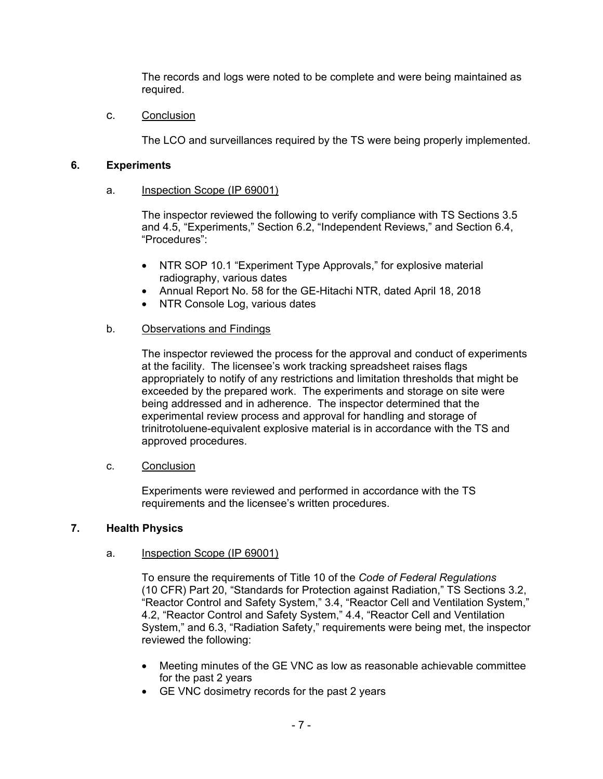The records and logs were noted to be complete and were being maintained as required.

c. Conclusion

The LCO and surveillances required by the TS were being properly implemented.

## **6. Experiments**

#### a. Inspection Scope (IP 69001)

The inspector reviewed the following to verify compliance with TS Sections 3.5 and 4.5, "Experiments," Section 6.2, "Independent Reviews," and Section 6.4, "Procedures":

- NTR SOP 10.1 "Experiment Type Approvals," for explosive material radiography, various dates
- Annual Report No. 58 for the GE-Hitachi NTR, dated April 18, 2018
- NTR Console Log, various dates

## b. Observations and Findings

The inspector reviewed the process for the approval and conduct of experiments at the facility. The licensee's work tracking spreadsheet raises flags appropriately to notify of any restrictions and limitation thresholds that might be exceeded by the prepared work. The experiments and storage on site were being addressed and in adherence. The inspector determined that the experimental review process and approval for handling and storage of trinitrotoluene-equivalent explosive material is in accordance with the TS and approved procedures.

#### c. Conclusion

Experiments were reviewed and performed in accordance with the TS requirements and the licensee's written procedures.

#### **7. Health Physics**

#### a. Inspection Scope (IP 69001)

To ensure the requirements of Title 10 of the *Code of Federal Regulations* (10 CFR) Part 20, "Standards for Protection against Radiation," TS Sections 3.2, "Reactor Control and Safety System," 3.4, "Reactor Cell and Ventilation System," 4.2, "Reactor Control and Safety System," 4.4, "Reactor Cell and Ventilation System," and 6.3, "Radiation Safety," requirements were being met, the inspector reviewed the following:

- Meeting minutes of the GE VNC as low as reasonable achievable committee for the past 2 years
- GE VNC dosimetry records for the past 2 years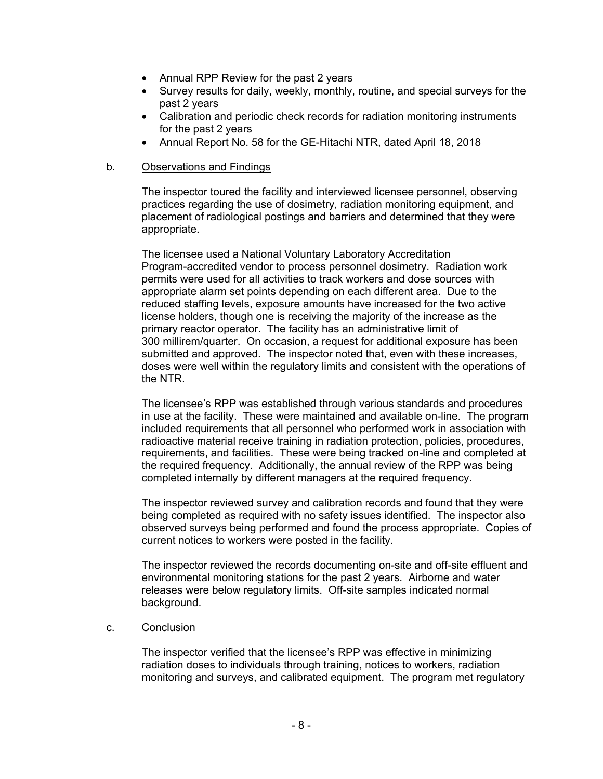- Annual RPP Review for the past 2 years
- Survey results for daily, weekly, monthly, routine, and special surveys for the past 2 years
- Calibration and periodic check records for radiation monitoring instruments for the past 2 years
- Annual Report No. 58 for the GE-Hitachi NTR, dated April 18, 2018

### b. Observations and Findings

The inspector toured the facility and interviewed licensee personnel, observing practices regarding the use of dosimetry, radiation monitoring equipment, and placement of radiological postings and barriers and determined that they were appropriate.

The licensee used a National Voluntary Laboratory Accreditation Program-accredited vendor to process personnel dosimetry. Radiation work permits were used for all activities to track workers and dose sources with appropriate alarm set points depending on each different area. Due to the reduced staffing levels, exposure amounts have increased for the two active license holders, though one is receiving the majority of the increase as the primary reactor operator. The facility has an administrative limit of 300 millirem/quarter. On occasion, a request for additional exposure has been submitted and approved. The inspector noted that, even with these increases, doses were well within the regulatory limits and consistent with the operations of the NTR.

The licensee's RPP was established through various standards and procedures in use at the facility. These were maintained and available on-line. The program included requirements that all personnel who performed work in association with radioactive material receive training in radiation protection, policies, procedures, requirements, and facilities. These were being tracked on-line and completed at the required frequency. Additionally, the annual review of the RPP was being completed internally by different managers at the required frequency.

The inspector reviewed survey and calibration records and found that they were being completed as required with no safety issues identified. The inspector also observed surveys being performed and found the process appropriate. Copies of current notices to workers were posted in the facility.

The inspector reviewed the records documenting on-site and off-site effluent and environmental monitoring stations for the past 2 years. Airborne and water releases were below regulatory limits. Off-site samples indicated normal background.

#### c. Conclusion

The inspector verified that the licensee's RPP was effective in minimizing radiation doses to individuals through training, notices to workers, radiation monitoring and surveys, and calibrated equipment. The program met regulatory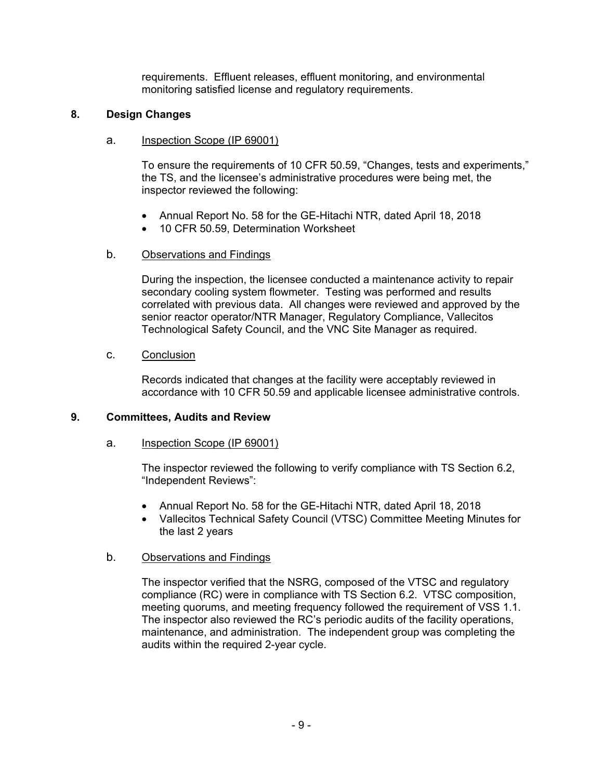requirements. Effluent releases, effluent monitoring, and environmental monitoring satisfied license and regulatory requirements.

# **8. Design Changes**

## a. Inspection Scope (IP 69001)

To ensure the requirements of 10 CFR 50.59, "Changes, tests and experiments," the TS, and the licensee's administrative procedures were being met, the inspector reviewed the following:

- Annual Report No. 58 for the GE-Hitachi NTR, dated April 18, 2018
- 10 CFR 50.59, Determination Worksheet

## b. Observations and Findings

During the inspection, the licensee conducted a maintenance activity to repair secondary cooling system flowmeter. Testing was performed and results correlated with previous data. All changes were reviewed and approved by the senior reactor operator/NTR Manager, Regulatory Compliance, Vallecitos Technological Safety Council, and the VNC Site Manager as required.

## c. Conclusion

Records indicated that changes at the facility were acceptably reviewed in accordance with 10 CFR 50.59 and applicable licensee administrative controls.

## **9. Committees, Audits and Review**

## a. Inspection Scope (IP 69001)

The inspector reviewed the following to verify compliance with TS Section 6.2, "Independent Reviews":

- Annual Report No. 58 for the GE-Hitachi NTR, dated April 18, 2018
- Vallecitos Technical Safety Council (VTSC) Committee Meeting Minutes for the last 2 years

## b. Observations and Findings

The inspector verified that the NSRG, composed of the VTSC and regulatory compliance (RC) were in compliance with TS Section 6.2. VTSC composition, meeting quorums, and meeting frequency followed the requirement of VSS 1.1. The inspector also reviewed the RC's periodic audits of the facility operations, maintenance, and administration. The independent group was completing the audits within the required 2-year cycle.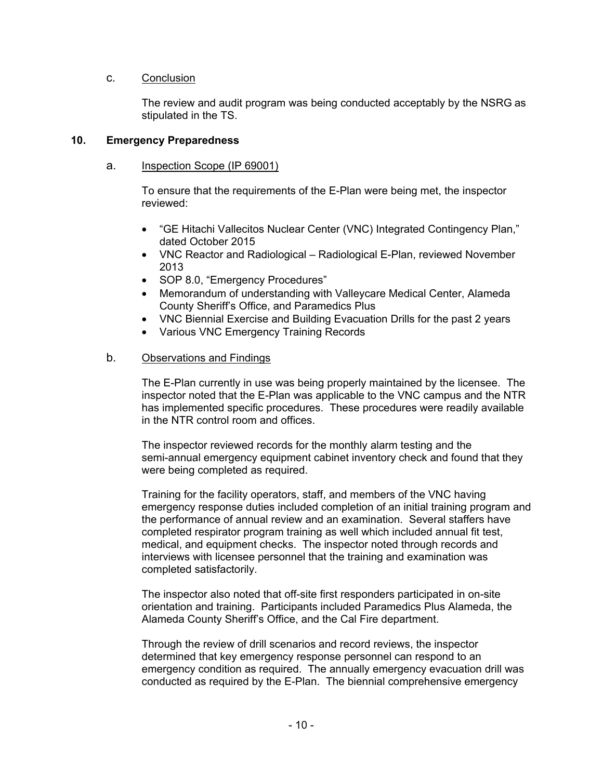## c. Conclusion

The review and audit program was being conducted acceptably by the NSRG as stipulated in the TS.

## **10. Emergency Preparedness**

### a. Inspection Scope (IP 69001)

To ensure that the requirements of the E-Plan were being met, the inspector reviewed:

- "GE Hitachi Vallecitos Nuclear Center (VNC) Integrated Contingency Plan," dated October 2015
- VNC Reactor and Radiological Radiological E-Plan, reviewed November 2013
- SOP 8.0, "Emergency Procedures"
- Memorandum of understanding with Valleycare Medical Center, Alameda County Sheriff's Office, and Paramedics Plus
- VNC Biennial Exercise and Building Evacuation Drills for the past 2 years
- Various VNC Emergency Training Records

### b. Observations and Findings

The E-Plan currently in use was being properly maintained by the licensee. The inspector noted that the E-Plan was applicable to the VNC campus and the NTR has implemented specific procedures. These procedures were readily available in the NTR control room and offices.

The inspector reviewed records for the monthly alarm testing and the semi-annual emergency equipment cabinet inventory check and found that they were being completed as required.

Training for the facility operators, staff, and members of the VNC having emergency response duties included completion of an initial training program and the performance of annual review and an examination. Several staffers have completed respirator program training as well which included annual fit test, medical, and equipment checks. The inspector noted through records and interviews with licensee personnel that the training and examination was completed satisfactorily.

The inspector also noted that off-site first responders participated in on-site orientation and training. Participants included Paramedics Plus Alameda, the Alameda County Sheriff's Office, and the Cal Fire department.

Through the review of drill scenarios and record reviews, the inspector determined that key emergency response personnel can respond to an emergency condition as required. The annually emergency evacuation drill was conducted as required by the E-Plan. The biennial comprehensive emergency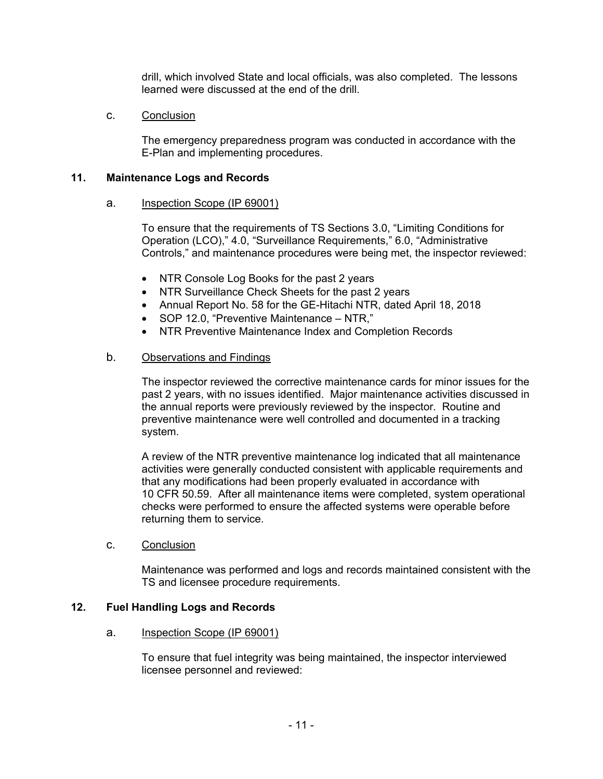drill, which involved State and local officials, was also completed. The lessons learned were discussed at the end of the drill.

## c. Conclusion

The emergency preparedness program was conducted in accordance with the E-Plan and implementing procedures.

## **11. Maintenance Logs and Records**

#### a. Inspection Scope (IP 69001)

To ensure that the requirements of TS Sections 3.0, "Limiting Conditions for Operation (LCO)," 4.0, "Surveillance Requirements," 6.0, "Administrative Controls," and maintenance procedures were being met, the inspector reviewed:

- NTR Console Log Books for the past 2 years
- NTR Surveillance Check Sheets for the past 2 years
- Annual Report No. 58 for the GE-Hitachi NTR, dated April 18, 2018
- SOP 12.0, "Preventive Maintenance NTR,"
- NTR Preventive Maintenance Index and Completion Records

## b. Observations and Findings

The inspector reviewed the corrective maintenance cards for minor issues for the past 2 years, with no issues identified. Major maintenance activities discussed in the annual reports were previously reviewed by the inspector. Routine and preventive maintenance were well controlled and documented in a tracking system.

A review of the NTR preventive maintenance log indicated that all maintenance activities were generally conducted consistent with applicable requirements and that any modifications had been properly evaluated in accordance with 10 CFR 50.59. After all maintenance items were completed, system operational checks were performed to ensure the affected systems were operable before returning them to service.

#### c. Conclusion

Maintenance was performed and logs and records maintained consistent with the TS and licensee procedure requirements.

## **12. Fuel Handling Logs and Records**

#### a. Inspection Scope (IP 69001)

To ensure that fuel integrity was being maintained, the inspector interviewed licensee personnel and reviewed: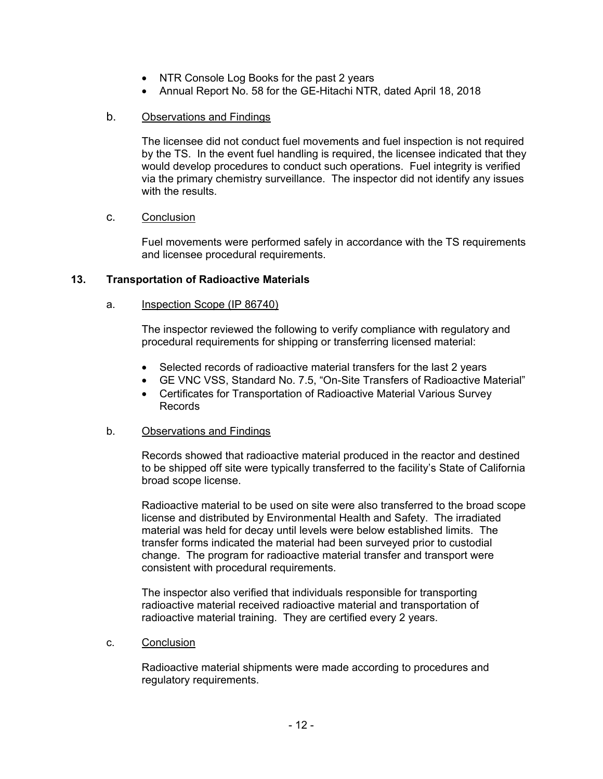- NTR Console Log Books for the past 2 years
- Annual Report No. 58 for the GE-Hitachi NTR, dated April 18, 2018

## b. Observations and Findings

The licensee did not conduct fuel movements and fuel inspection is not required by the TS. In the event fuel handling is required, the licensee indicated that they would develop procedures to conduct such operations. Fuel integrity is verified via the primary chemistry surveillance. The inspector did not identify any issues with the results.

## c. Conclusion

Fuel movements were performed safely in accordance with the TS requirements and licensee procedural requirements.

## **13. Transportation of Radioactive Materials**

## a. Inspection Scope (IP 86740)

The inspector reviewed the following to verify compliance with regulatory and procedural requirements for shipping or transferring licensed material:

- Selected records of radioactive material transfers for the last 2 years
- GE VNC VSS, Standard No. 7.5, "On-Site Transfers of Radioactive Material"
- Certificates for Transportation of Radioactive Material Various Survey Records

## b. Observations and Findings

Records showed that radioactive material produced in the reactor and destined to be shipped off site were typically transferred to the facility's State of California broad scope license.

Radioactive material to be used on site were also transferred to the broad scope license and distributed by Environmental Health and Safety. The irradiated material was held for decay until levels were below established limits. The transfer forms indicated the material had been surveyed prior to custodial change. The program for radioactive material transfer and transport were consistent with procedural requirements.

The inspector also verified that individuals responsible for transporting radioactive material received radioactive material and transportation of radioactive material training. They are certified every 2 years.

#### c. Conclusion

Radioactive material shipments were made according to procedures and regulatory requirements.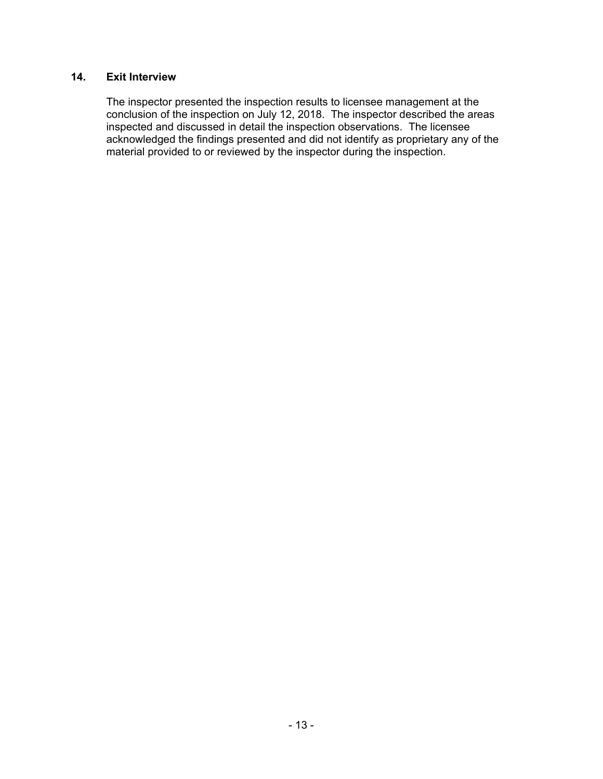# **14. Exit Interview**

The inspector presented the inspection results to licensee management at the conclusion of the inspection on July 12, 2018. The inspector described the areas inspected and discussed in detail the inspection observations. The licensee acknowledged the findings presented and did not identify as proprietary any of the material provided to or reviewed by the inspector during the inspection.